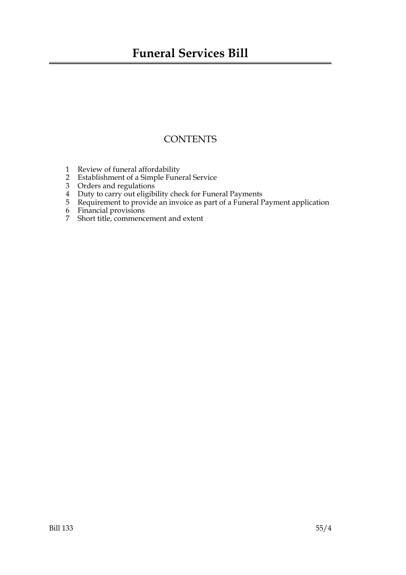# **CONTENTS**

- 1 Review of funeral affordability
- 2 Establishment of a Simple Funeral Service
- 3 Orders and regulations
- 4 Duty to carry out eligibility check for Funeral Payments
- 5 Requirement to provide an invoice as part of a Funeral Payment application
- 6 Financial provisions
- 7 Short title, commencement and extent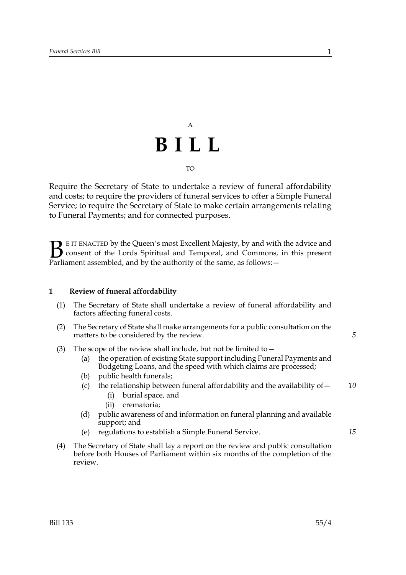# A **BILL** TO

Require the Secretary of State to undertake a review of funeral affordability and costs; to require the providers of funeral services to offer a Simple Funeral Service; to require the Secretary of State to make certain arrangements relating to Funeral Payments; and for connected purposes.

E IT ENACTED by the Queen's most Excellent Majesty, by and with the advice and consent of the Lords Spiritual and Temporal, and Commons, in this present **B** E IT ENACTED by the Queen's most Excellent Majesty, by and with consent of the Lords Spiritual and Temporal, and Commons, Parliament assembled, and by the authority of the same, as follows:  $-$ 

# **1 Review of funeral affordability**

- (1) The Secretary of State shall undertake a review of funeral affordability and factors affecting funeral costs.
- (2) The Secretary of State shall make arrangements for a public consultation on the matters to be considered by the review.
- (3) The scope of the review shall include, but not be limited to  $-$ 
	- (a) the operation of existing State support including Funeral Payments and Budgeting Loans, and the speed with which claims are processed;
	- (b) public health funerals;
	- (c) the relationship between funeral affordability and the availability of  $-$ *10*
		- (i) burial space, and
		- (ii) crematoria;
	- (d) public awareness of and information on funeral planning and available support; and
	- (e) regulations to establish a Simple Funeral Service.
- (4) The Secretary of State shall lay a report on the review and public consultation before both Houses of Parliament within six months of the completion of the review.

*5*

*15*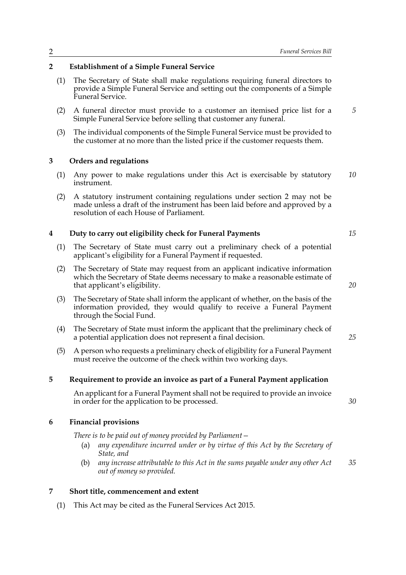# **2 Establishment of a Simple Funeral Service**

- (1) The Secretary of State shall make regulations requiring funeral directors to provide a Simple Funeral Service and setting out the components of a Simple Funeral Service.
- (2) A funeral director must provide to a customer an itemised price list for a Simple Funeral Service before selling that customer any funeral.
- (3) The individual components of the Simple Funeral Service must be provided to the customer at no more than the listed price if the customer requests them.

### **3 Orders and regulations**

- (1) Any power to make regulations under this Act is exercisable by statutory instrument. *10*
- (2) A statutory instrument containing regulations under section 2 may not be made unless a draft of the instrument has been laid before and approved by a resolution of each House of Parliament.

#### **4 Duty to carry out eligibility check for Funeral Payments**

- (1) The Secretary of State must carry out a preliminary check of a potential applicant's eligibility for a Funeral Payment if requested.
- (2) The Secretary of State may request from an applicant indicative information which the Secretary of State deems necessary to make a reasonable estimate of that applicant's eligibility.
- (3) The Secretary of State shall inform the applicant of whether, on the basis of the information provided, they would qualify to receive a Funeral Payment through the Social Fund.
- (4) The Secretary of State must inform the applicant that the preliminary check of a potential application does not represent a final decision.
- (5) A person who requests a preliminary check of eligibility for a Funeral Payment must receive the outcome of the check within two working days.

#### **5 Requirement to provide an invoice as part of a Funeral Payment application**

An applicant for a Funeral Payment shall not be required to provide an invoice in order for the application to be processed.

### **6 Financial provisions**

*There is to be paid out of money provided by Parliament—*

- (a) *any expenditure incurred under or by virtue of this Act by the Secretary of State, and*
- (b) *any increase attributable to this Act in the sums payable under any other Act out of money so provided. 35*

#### **7 Short title, commencement and extent**

(1) This Act may be cited as the Funeral Services Act 2015.

*15*

*20*

*25*

*30*

*5*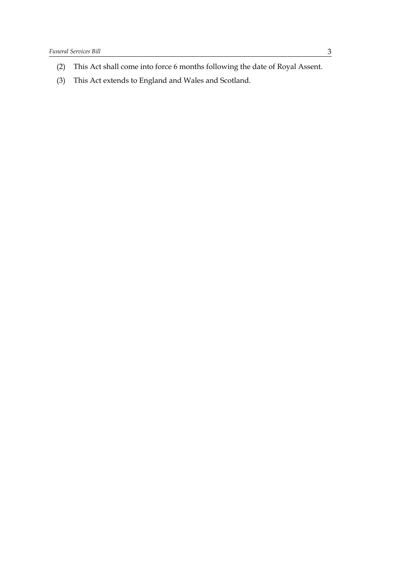- (2) This Act shall come into force 6 months following the date of Royal Assent.
- (3) This Act extends to England and Wales and Scotland.